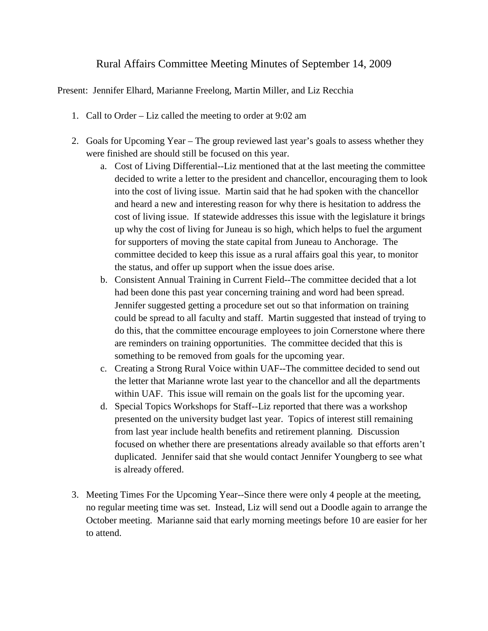## Rural Affairs Committee Meeting Minutes of September 14, 2009

Present: Jennifer Elhard, Marianne Freelong, Martin Miller, and Liz Recchia

- 1. Call to Order Liz called the meeting to order at 9:02 am
- 2. Goals for Upcoming Year The group reviewed last year's goals to assess whether they were finished are should still be focused on this year.
	- a. Cost of Living Differential--Liz mentioned that at the last meeting the committee decided to write a letter to the president and chancellor, encouraging them to look into the cost of living issue. Martin said that he had spoken with the chancellor and heard a new and interesting reason for why there is hesitation to address the cost of living issue. If statewide addresses this issue with the legislature it brings up why the cost of living for Juneau is so high, which helps to fuel the argument for supporters of moving the state capital from Juneau to Anchorage. The committee decided to keep this issue as a rural affairs goal this year, to monitor the status, and offer up support when the issue does arise.
	- b. Consistent Annual Training in Current Field--The committee decided that a lot had been done this past year concerning training and word had been spread. Jennifer suggested getting a procedure set out so that information on training could be spread to all faculty and staff. Martin suggested that instead of trying to do this, that the committee encourage employees to join Cornerstone where there are reminders on training opportunities. The committee decided that this is something to be removed from goals for the upcoming year.
	- c. Creating a Strong Rural Voice within UAF--The committee decided to send out the letter that Marianne wrote last year to the chancellor and all the departments within UAF. This issue will remain on the goals list for the upcoming year.
	- d. Special Topics Workshops for Staff--Liz reported that there was a workshop presented on the university budget last year. Topics of interest still remaining from last year include health benefits and retirement planning. Discussion focused on whether there are presentations already available so that efforts aren't duplicated. Jennifer said that she would contact Jennifer Youngberg to see what is already offered.
- 3. Meeting Times For the Upcoming Year--Since there were only 4 people at the meeting, no regular meeting time was set. Instead, Liz will send out a Doodle again to arrange the October meeting. Marianne said that early morning meetings before 10 are easier for her to attend.